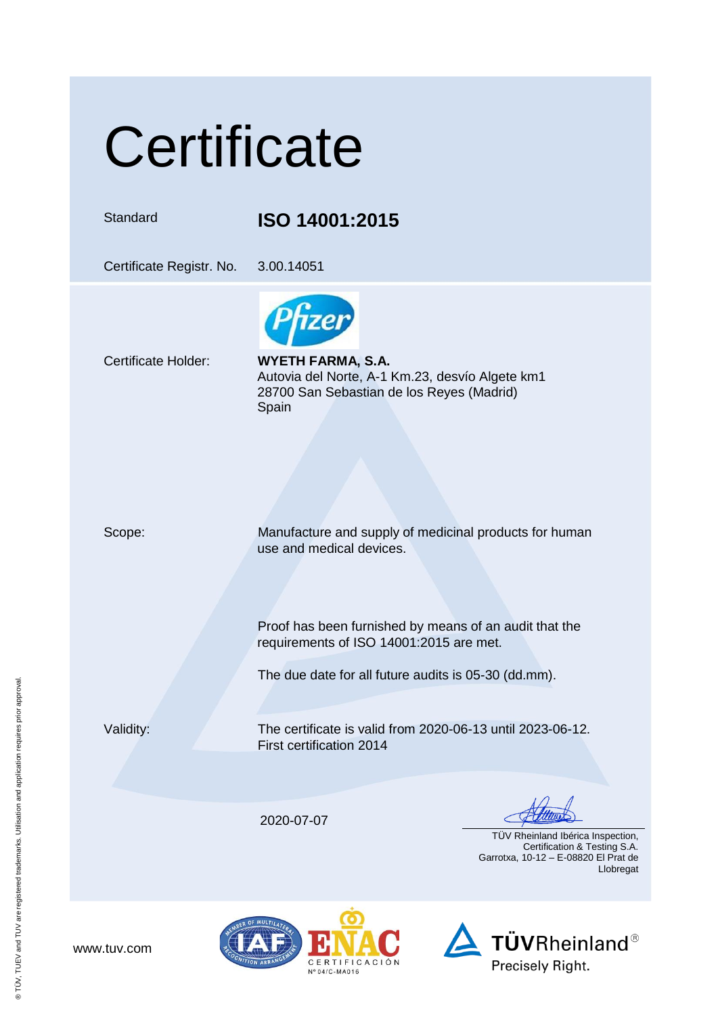## **Certificate**

## Standard **ISO 14001:2015**

Certificate Registr. No. 3.00.14051

Certificate Holder: **WYETH FARMA, S.A.** Autovia del Norte, A-1 Km.23, desvío Algete km1 28700 San Sebastian de los Reyes (Madrid) Spain

Scope: Manufacture and supply of medicinal products for human use and medical devices.

> Proof has been furnished by means of an audit that the requirements of ISO 14001:2015 are met.

The due date for all future audits is 05-30 (dd.mm).

www.tuv.com

Validity: The certificate is valid from 2020-06-13 until 2023-06-12. First certification 2014

2020-07-07

 TÜV Rheinland Ibérica Inspection, Certification & Testing S.A. Garrotxa, 10-12 – E-08820 El Prat de Llobregat